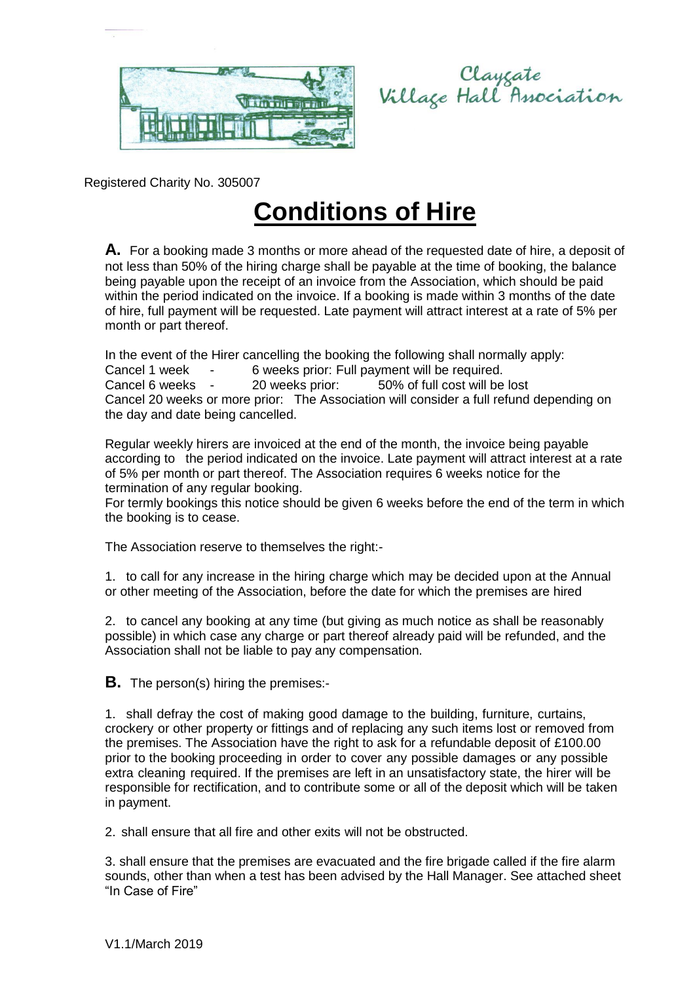

Clayzate<br>Village Hall Association

Registered Charity No. 305007

## **Conditions of Hire**

**A.** For a booking made 3 months or more ahead of the requested date of hire, a deposit of not less than 50% of the hiring charge shall be payable at the time of booking, the balance being payable upon the receipt of an invoice from the Association, which should be paid within the period indicated on the invoice. If a booking is made within 3 months of the date of hire, full payment will be requested. Late payment will attract interest at a rate of 5% per month or part thereof.

In the event of the Hirer cancelling the booking the following shall normally apply:

Cancel 1 week - 6 weeks prior: Full payment will be required.

Cancel 6 weeks - 20 weeks prior: 50% of full cost will be lost

Cancel 20 weeks or more prior: The Association will consider a full refund depending on the day and date being cancelled.

Regular weekly hirers are invoiced at the end of the month, the invoice being payable according to the period indicated on the invoice. Late payment will attract interest at a rate of 5% per month or part thereof. The Association requires 6 weeks notice for the termination of any regular booking.

For termly bookings this notice should be given 6 weeks before the end of the term in which the booking is to cease.

The Association reserve to themselves the right:-

1. to call for any increase in the hiring charge which may be decided upon at the Annual or other meeting of the Association, before the date for which the premises are hired

2. to cancel any booking at any time (but giving as much notice as shall be reasonably possible) in which case any charge or part thereof already paid will be refunded, and the Association shall not be liable to pay any compensation.

**B.** The person(s) hiring the premises:-

1. shall defray the cost of making good damage to the building, furniture, curtains, crockery or other property or fittings and of replacing any such items lost or removed from the premises. The Association have the right to ask for a refundable deposit of £100.00 prior to the booking proceeding in order to cover any possible damages or any possible extra cleaning required. If the premises are left in an unsatisfactory state, the hirer will be responsible for rectification, and to contribute some or all of the deposit which will be taken in payment.

2. shall ensure that all fire and other exits will not be obstructed.

3. shall ensure that the premises are evacuated and the fire brigade called if the fire alarm sounds, other than when a test has been advised by the Hall Manager. See attached sheet "In Case of Fire"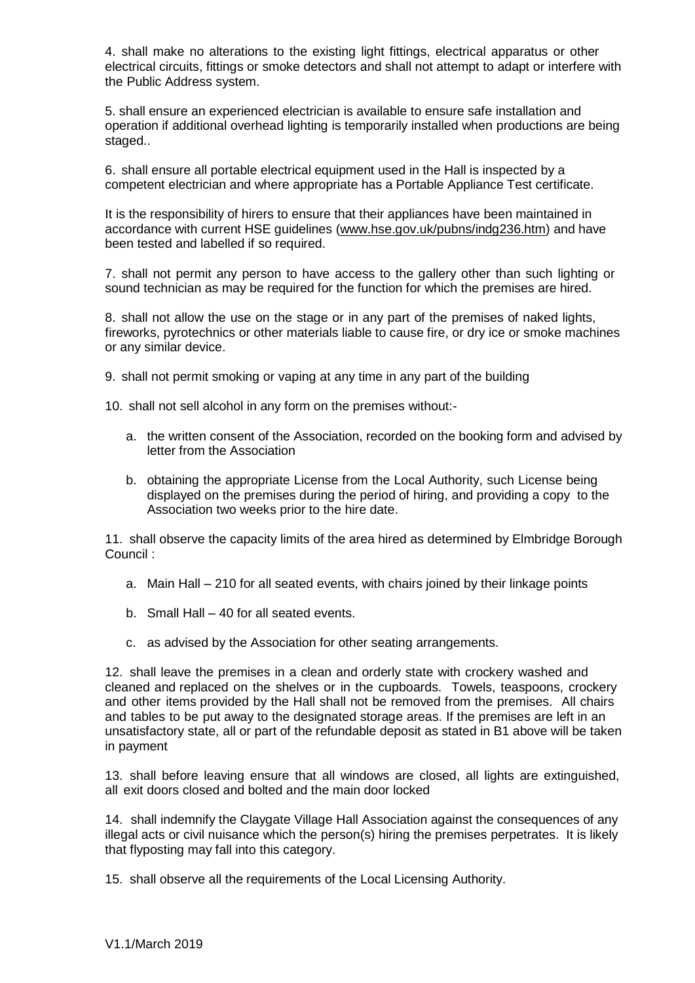4. shall make no alterations to the existing light fittings, electrical apparatus or other electrical circuits, fittings or smoke detectors and shall not attempt to adapt or interfere with the Public Address system.

5. shall ensure an experienced electrician is available to ensure safe installation and operation if additional overhead lighting is temporarily installed when productions are being staged..

6. shall ensure all portable electrical equipment used in the Hall is inspected by a competent electrician and where appropriate has a Portable Appliance Test certificate.

It is the responsibility of hirers to ensure that their appliances have been maintained in accordance with current HSE guidelines [\(www.hse.gov.uk/pubns/indg236.htm\)](http://www.hse.gov.uk/pubns/indg236.htm)) and have been tested and labelled if so required.

7. shall not permit any person to have access to the gallery other than such lighting or sound technician as may be required for the function for which the premises are hired.

8. shall not allow the use on the stage or in any part of the premises of naked lights, fireworks, pyrotechnics or other materials liable to cause fire, or dry ice or smoke machines or any similar device.

9. shall not permit smoking or vaping at any time in any part of the building

10. shall not sell alcohol in any form on the premises without:-

- a. the written consent of the Association, recorded on the booking form and advised by letter from the Association
- b. obtaining the appropriate License from the Local Authority, such License being displayed on the premises during the period of hiring, and providing a copy to the Association two weeks prior to the hire date.

11. shall observe the capacity limits of the area hired as determined by Elmbridge Borough Council :

- a. Main Hall 210 for all seated events, with chairs joined by their linkage points
- b. Small Hall 40 for all seated events.
- c. as advised by the Association for other seating arrangements.

12. shall leave the premises in a clean and orderly state with crockery washed and cleaned and replaced on the shelves or in the cupboards. Towels, teaspoons, crockery and other items provided by the Hall shall not be removed from the premises. All chairs and tables to be put away to the designated storage areas. If the premises are left in an unsatisfactory state, all or part of the refundable deposit as stated in B1 above will be taken in payment

13. shall before leaving ensure that all windows are closed, all lights are extinguished, all exit doors closed and bolted and the main door locked

14. shall indemnify the Claygate Village Hall Association against the consequences of any illegal acts or civil nuisance which the person(s) hiring the premises perpetrates. It is likely that flyposting may fall into this category.

15. shall observe all the requirements of the Local Licensing Authority.